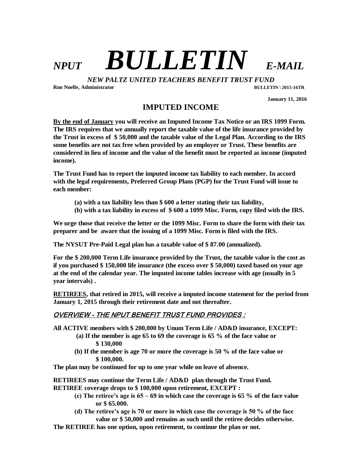## *NPUT BULLETIN E-MAIL*

*NEW PALTZ UNITED TEACHERS BENEFIT TRUST FUND*

**Ron Noelle, Administrator BULLETIN \ 2015-16TR**

 **January 11, 2016**

**IMPUTED INCOME**

**By the end of January you will receive an Imputed Income Tax Notice or an IRS 1099 Form. The IRS requires that we annually report the taxable value of the life insurance provided by the Trust in excess of \$ 50,000 and the taxable value of the Legal Plan. According to the IRS some benefits are not tax free when provided by an employer or Trust. These benefits are considered in lieu of income and the value of the benefit must be reported as income (imputed income).** 

**The Trust Fund has to report the imputed income tax liability to each member. In accord with the legal requirements, Preferred Group Plans (PGP) for the Trust Fund will issue to each member:**

- **(a) with a tax liability less than \$ 600 a letter stating their tax liability,**
- **(b) with a tax liability in excess of \$ 600 a 1099 Misc. Form, copy filed with the IRS.**

**We urge those that receive the letter or the 1099 Misc. Form to share the form with their tax preparer and be aware that the issuing of a 1099 Misc. Form is filed with the IRS.**

**The NYSUT Pre-Paid Legal plan has a taxable value of \$ 87.00 (annualized).**

**For the \$ 200,000 Term Life insurance provided by the Trust, the taxable value is the cost as if you purchased \$ 150,000 life insurance (the excess over \$ 50,000) taxed based on your age at the end of the calendar year. The imputed income tables increase with age (usually in 5 year intervals) .**

**RETIREES, that retired in 2015, will receive a imputed income statement for the period from January 1, 2015 through their retirement date and not thereafter.**

## OVERVIEW - THE NPUT BENEFIT TRUST FUND PROVIDES :

**All ACTIVE members with \$ 200,000 by Unum Term Life / AD&D insurance, EXCEPT:**

- **(a) If the member is age 65 to 69 the coverage is 65 % of the face value or \$ 130,000**
- **(b) If the member is age 70 or more the coverage is 50 % of the face value or \$ 100,000.**

**The plan may be continued for up to one year while on leave of absence.**

**RETIREES may continue the Term Life / AD&D plan through the Trust Fund.**

- **RETIREE coverage drops to \$ 100,000 upon retirement, EXCEPT :**
	- **(c) The retiree's age is 65 – 69 in which case the coverage is 65 % of the face value or \$ 65.000.**
	- **(d) The retiree's age is 70 or more in which case the coverage is 50 % of the face value or \$ 50,000 and remains as such until the retiree decides otherwise.**
- **The RETIREE has one option, upon retirement, to continue the plan or not.**